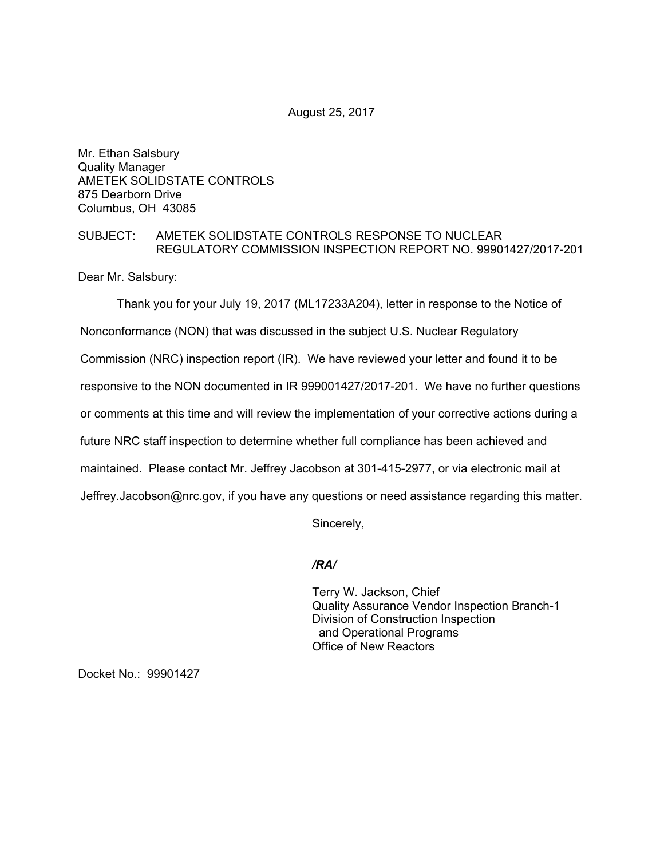August 25, 2017

Mr. Ethan Salsbury Quality Manager AMETEK SOLIDSTATE CONTROLS 875 Dearborn Drive Columbus, OH 43085

## SUBJECT: AMETEK SOLIDSTATE CONTROLS RESPONSE TO NUCLEAR REGULATORY COMMISSION INSPECTION REPORT NO. 99901427/2017-201

Dear Mr. Salsbury:

Thank you for your July 19, 2017 (ML17233A204), letter in response to the Notice of Nonconformance (NON) that was discussed in the subject U.S. Nuclear Regulatory Commission (NRC) inspection report (IR). We have reviewed your letter and found it to be responsive to the NON documented in IR 999001427/2017-201. We have no further questions or comments at this time and will review the implementation of your corrective actions during a future NRC staff inspection to determine whether full compliance has been achieved and maintained. Please contact Mr. Jeffrey Jacobson at 301-415-2977, or via electronic mail at Jeffrey.Jacobson@nrc.gov, if you have any questions or need assistance regarding this matter.

Sincerely,

### */RA/*

Terry W. Jackson, Chief Quality Assurance Vendor Inspection Branch-1 Division of Construction Inspection and Operational Programs Office of New Reactors

Docket No.: 99901427